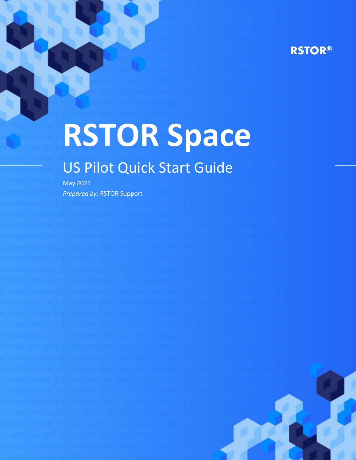# **RSTOR®**

# **RSTOR Space**

# US Pilot Quick Start Guide

May 2021 *Prepared by:* RSTOR Support

rstor.io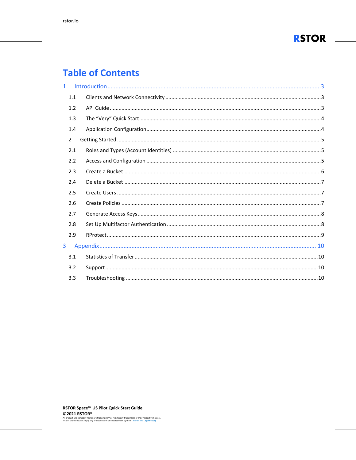

# **Table of Contents**

| $\mathbf{1}$ |                |  |
|--------------|----------------|--|
|              | 1.1            |  |
|              | 1.2            |  |
|              | 1.3            |  |
|              | 1.4            |  |
|              | $\overline{2}$ |  |
|              | 2.1            |  |
|              | 2.2            |  |
|              | 2.3            |  |
|              | 2.4            |  |
|              | 2.5            |  |
|              | 2.6            |  |
|              | 2.7            |  |
|              | 2.8            |  |
|              | 2.9            |  |
| 3            |                |  |
|              | 3.1            |  |
|              | 3.2            |  |
|              | 3.3            |  |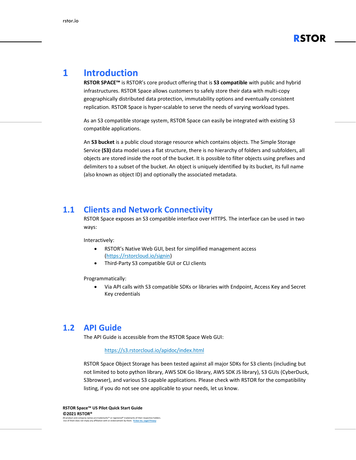

## <span id="page-2-0"></span>**1 Introduction**

**RSTOR SPACE™** is RSTOR's core product offering that is **S3 compatible** with public and hybrid infrastructures. RSTOR Space allows customers to safely store their data with multi-copy geographically distributed data protection, immutability options and eventually consistent replication. RSTOR Space is hyper-scalable to serve the needs of varying workload types.

As an S3 compatible storage system, RSTOR Space can easily be integrated with existing S3 compatible applications.

An **S3 bucket** is a public cloud storage resource which contains objects. The Simple Storage Service **(S3)** data model uses a flat structure, there is no hierarchy of folders and subfolders, all objects are stored inside the root of the bucket. It is possible to filter objects using prefixes and delimiters to a subset of the bucket. An object is uniquely identified by its bucket, its full name (also known as object ID) and optionally the associated metadata.

#### <span id="page-2-1"></span>**1.1 Clients and Network Connectivity**

RSTOR Space exposes an S3 compatible interface over HTTPS. The interface can be used in two ways:

Interactively:

- RSTOR's Native Web GUI, best for simplified management access [\(https://rstorcloud.io/signin\)](https://rstorcloud.io/signin)
- Third-Party S3 compatible GUI or CLI clients

Programmatically:

• Via API calls with S3 compatible SDKs or libraries with Endpoint, Access Key and Secret Key credentials

#### <span id="page-2-2"></span>**1.2 API Guide**

The API Guide is accessible from the RSTOR Space Web GUI:

#### <https://s3.rstorcloud.io/apidoc/index.html>

RSTOR Space Object Storage has been tested against all major SDKs for S3 clients (including but not limited to boto python library, AWS SDK Go library, AWS SDK JS library), S3 GUIs (CyberDuck, S3browser), and various S3 capable applications. Please check with RSTOR for the compatibility listing, if you do not see one applicable to your needs, let us know.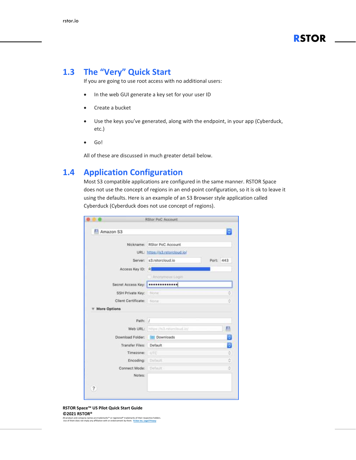

#### <span id="page-3-0"></span>**1.3 The "Very" Quick Start**

If you are going to use root access with no additional users:

- In the web GUI generate a key set for your user ID
- Create a bucket
- Use the keys you've generated, along with the endpoint, in your app (Cyberduck, etc.)
- Go!

All of these are discussed in much greater detail below.

#### <span id="page-3-1"></span>**1.4 Application Configuration**

Most S3 compatible applications are configured in the same manner. RSTOR Space does not use the concept of regions in an end-point configuration, so it is ok to leave it using the defaults. Here is an example of an S3 Browser style application called Cyberduck (Cyberduck does not use concept of regions).

|                          | Nickname: RStor PoC Account        |                       |
|--------------------------|------------------------------------|-----------------------|
|                          | URL: https://s3.rstorcloud.jo/     |                       |
|                          | Server: s3.rstorcloud.jo           | Port: 443             |
| Access Key ID: R         |                                    |                       |
|                          | Ananymous Login                    |                       |
|                          | Secret Access Key:   ************  |                       |
| SSH Private Key:         | hibtie                             | ę                     |
| Client Certificate: None |                                    | ő                     |
| More Options             |                                    |                       |
| Path: /                  |                                    |                       |
|                          |                                    |                       |
|                          | Web URL: https://s3.rstorcloud.in/ |                       |
| Download Folder:         | <b>Downloads</b>                   |                       |
| Transfer Files:          | Default                            |                       |
| Timezone:                | UTC                                |                       |
| Encoding                 | <b>Clefaurt</b>                    |                       |
| Connect Mode:            | :Definire                          | л<br>Ð<br>٥<br>ġ<br>ō |

**RSTOR Space™ US Pilot Quick Start Guide ©2021 RSTOR®** 

All product and company names are trademarks™ or registered® trademarks of their respective holders. Use of them does not imply any affiliation with or endorsement by them. **[R-Stor Inc. Legal Privacy](https://www.rstor.io/legal-privacy/)**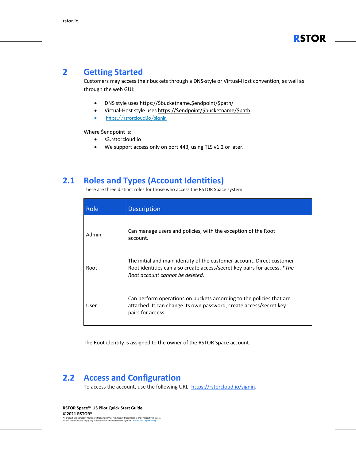#### <span id="page-4-0"></span>**2 Getting Started**

Customers may access their buckets through a DNS-style or Virtual-Host convention, as well as through the web GUI:

- DNS style uses https://\$bucketname.\$endpoint/\$path/
- Virtual-Host style uses [https://\\$endpoint/\\$bucketname/\\$path](https://$endpoint/$bucketname/$path)
- <https://rstorcloud.io/signin>

Where \$endpoint is:

- s3.rstorcloud.io
- We support access only on port 443, using TLS v1.2 or later.

#### <span id="page-4-1"></span>**2.1 Roles and Types (Account Identities)**

There are three distinct roles for those who access the RSTOR Space system:

| Role  | <b>Description</b>                                                                                                                                                                    |
|-------|---------------------------------------------------------------------------------------------------------------------------------------------------------------------------------------|
| Admin | Can manage users and policies, with the exception of the Root<br>account.                                                                                                             |
| Root  | The initial and main identity of the customer account. Direct customer<br>Root identities can also create access/secret key pairs for access. *The<br>Root account cannot be deleted. |
| User  | Can perform operations on buckets according to the policies that are<br>attached. It can change its own password, create access/secret key<br>pairs for access.                       |

The Root identity is assigned to the owner of the RSTOR Space account.

#### <span id="page-4-2"></span>**2.2 Access and Configuration**

To access the account, use the following URL: [https://rstorcloud.io/signin.](https://rstorcloud.io/signin)

**RSTOR Space™ US Pilot Quick Start Guide ©2021 RSTOR®**  All product and company names are trademarks™ or registered® trademarks of their respective holders. Use of them does not imply any affiliation with or endorsement by them. **[R-Stor Inc. Legal Privacy](https://www.rstor.io/legal-privacy/)**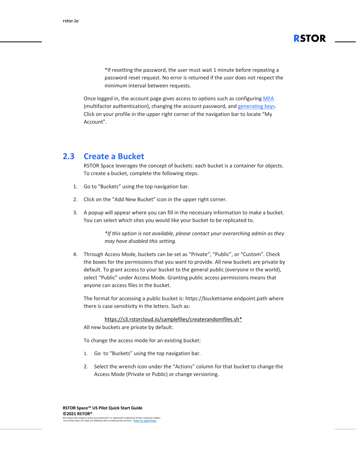\*If resetting the password, the user must wait 1 minute before repeating a password reset request. No error is returned if the user does not respect the minimum interval between requests.

**RSTOR**

Once logged in, the account page gives access to options such as configuring [MFA](#page-7-2) (multifactor [authentication\),](#page-7-2) changing the account password, and [generating](#page-7-0) keys. Click on your profile in the upper right corner of the navigation bar to locate "My Account".

#### <span id="page-5-0"></span>**2.3 Create a Bucket**

RSTOR Space leverages the concept of buckets: each bucket is a container for objects. To create a bucket, complete the following steps.

- 1. Go to "Buckets" using the top navigation bar.
- 2. Click on the "Add New Bucket" icon in the upper right corner.
- 3. A popup will appear where you can fill in the necessary information to make a bucket. You can select which sites you would like your bucket to be replicated to.

*\*If this option is not available, please contact your overarching admin as they may have disabled this setting.*

4. Through Access Mode, buckets can be set as "Private", "Public", or "Custom". Check the boxes for the permissions that you want to provide. All new buckets are private by default. To grant access to your bucket to the general public (everyone in the world), select "Public" under Access Mode. Granting public access permissions means that anyone can access files in the bucket.

The format for accessing a public bucket is: https://bucketname.endpoint.path where there is case sensitivity in the letters. Such as:

[https://s3.rstorcloud.io/samplefiles/createrandomfiles.sh\\*](https://s3.rstorcloud.io/samplefiles/createrandomfiles.sh)

All new buckets are private by default.

To change the access mode for an existing bucket:

- 1. Go to "Buckets" using the top navigation bar.
- 2. Select the wrench icon under the "Actions" column for that bucket to change the Access Mode (Private or Public) or change versioning.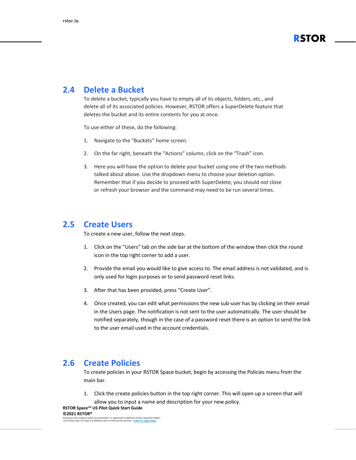

#### <span id="page-6-0"></span>**2.4 Delete a Bucket**

To delete a bucket, typically you have to empty all of its objects, folders, etc., and delete all of its associated policies. However, RSTOR offers a SuperDelete feature that deletes the bucket and its entire contents for you at once.

To use either of these, do the following:

- 1. Navigate to the "Buckets" home screen.
- 2. On the far right, beneath the "Actions" column, click on the "Trash" icon.
- 3. Here you will have the option to delete your bucket using one of the two methods talked about above. Use the dropdown menu to choose your deletion option. Remember that if you decide to proceed with SuperDelete, you should *not* close or refresh your browser and the command may need to be run several times.

#### <span id="page-6-1"></span>**2.5 Create Users**

To create a new user, follow the next steps.

- 1. Click on the "Users" tab on the side bar at the bottom of the window then click the round icon in the top right corner to add a user.
- 2. Provide the email you would like to give access to. The email address is not validated, and is only used for login purposes or to send password reset links.
- 3. After that has been provided, press "Create User".
- 4. Once created, you can edit what permissions the new sub-user has by clicking on their email in the Users page. The notification is not sent to the user automatically. The user should be notified separately, though in the case of a password reset there is an option to send the link to the user email used in the account credentials.

#### <span id="page-6-2"></span>**2.6 Create Policies**

To create policies in your RSTOR Space bucket, begin by accessing the Policies menu from the main bar.

1. Click the create policies button in the top right corner. This will open up a screen that will allow you to input a name and description for your new policy.

All product and company names are trademarks™ or registered® trademarks of their respective holders. Use of them does not imply any affiliation with or endorsement by them. **[R-Stor Inc. Legal Privacy](https://www.rstor.io/legal-privacy/)**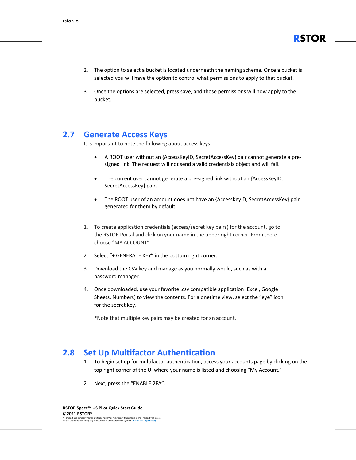

- 2. The option to select a bucket is located underneath the naming schema. Once a bucket is selected you will have the option to control what permissions to apply to that bucket.
- 3. Once the options are selected, press save, and those permissions will now apply to the bucket.

#### <span id="page-7-0"></span>**2.7 Generate Access Keys**

It is important to note the following about access keys.

- A ROOT user without an {AccessKeyID, SecretAccessKey} pair cannot generate a presigned link. The request will not send a valid credentials object and will fail.
- The current user cannot generate a pre-signed link without an {AccessKeyID, SecretAccessKey} pair.
- The ROOT user of an account does not have an {AccessKeyID, SecretAccessKey} pair generated for them by default.
- 1. To create application credentials (access/secret key pairs) for the account, go to the RSTOR Portal and click on your name in the upper right corner. From there choose "MY ACCOUNT".
- 2. Select "+ GENERATE KEY" in the bottom right corner.
- 3. Download the CSV key and manage as you normally would, such as with a password manager.
- 4. Once downloaded, use your favorite .csv compatible application (Excel, Google Sheets, Numbers) to view the contents. For a onetime view, select the "eye" icon for the secret key.

\*Note that multiple key pairs may be created for an account.

#### <span id="page-7-1"></span>**2.8 Set Up Multifactor Authentication**

- <span id="page-7-2"></span>1. To begin set up for multifactor authentication, access your accounts page by clicking on the top right corner of the UI where your name is listed and choosing "My Account."
- 2. Next, press the "ENABLE 2FA".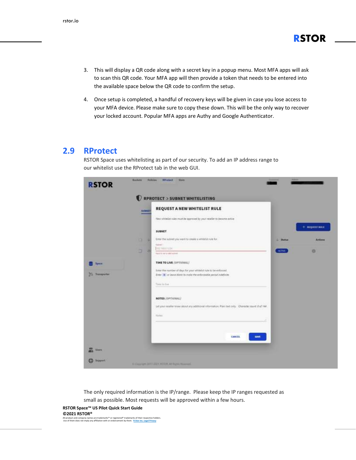3. This will display a QR code along with a secret key in a popup menu. Most MFA apps will ask to scan this QR code. Your MFA app will then provide a token that needs to be entered into the available space below the QR code to confirm the setup.

**RSTOR**

4. Once setup is completed, a handful of recovery keys will be given in case you lose access to your MFA device. Please make sure to copy these down. This will be the only way to recover your locked account. Popular MFA apps are Authy and Google Authenticator.

#### <span id="page-8-0"></span>**2.9 RProtect**

RSTOR Space uses whitelisting as part of our security. To add an IP address range to our whitelist use the RProtect tab in the web GUI.

|                         | SUBSET | REQUEST A NEW WHITELIST RULE                                                                                                                                                                                                            |               |                         |
|-------------------------|--------|-----------------------------------------------------------------------------------------------------------------------------------------------------------------------------------------------------------------------------------------|---------------|-------------------------|
|                         |        | New whitelist rules must be expressed by your reseller to become active<br>A D-11 MAR AND CONDUCT IN<br><b>4일이 아까 아까지 이 이 아이에 가장 가지</b>                                                                                                 |               |                         |
|                         |        | SUBNET                                                                                                                                                                                                                                  |               | $+$ <b>NEQUEST NULE</b> |
|                         | u<br>o | <b>USED IN PERMIT CONTROL</b><br>Enter the subret you want to create a whitefail rule for                                                                                                                                               | <b>Shatum</b> | <b>Actions</b>          |
|                         | a<br>в | <b>Sales (1)</b><br>THE FRILL STEW<br>Agent is not a cold subject                                                                                                                                                                       | <b>ACTIVE</b> | a                       |
| <b>System</b>           |        | TIME TO LIVE (OPTIONAL)                                                                                                                                                                                                                 |               |                         |
|                         |        | Enter the number of days for your whitelist nile to be enforced.                                                                                                                                                                        |               |                         |
| ×<br><b>Transporter</b> |        | Enter # or leave himit to make the enforceable period indefinite.                                                                                                                                                                       |               |                         |
|                         |        | Time in line                                                                                                                                                                                                                            |               |                         |
|                         |        | NOTES (OPTIONAL)                                                                                                                                                                                                                        |               |                         |
|                         |        | <b>INDUSTRIAL CONTRACT</b><br>Let your reseler know about any additional information. Plan text only. Changday count 0 of 144.<br>e en la provincia de la provincia de la componencia de la composició de la concelha de la concelha de |               |                         |
|                         |        | Noter                                                                                                                                                                                                                                   |               |                         |
|                         |        |                                                                                                                                                                                                                                         |               |                         |
|                         |        | CANCEL<br>SAVE                                                                                                                                                                                                                          |               |                         |
|                         |        |                                                                                                                                                                                                                                         |               |                         |

The only required information is the IP/range. Please keep the IP ranges requested as small as possible. Most requests will be approved within a few hours.

#### **RSTOR Space™ US Pilot Quick Start Guide ©2021 RSTOR®**

All product and company names are trademarks™ or registered® trademarks of their respective holders. Use of them does not imply any affiliation with or endorsement by them. **[R-Stor Inc. Legal Privacy](https://www.rstor.io/legal-privacy/)**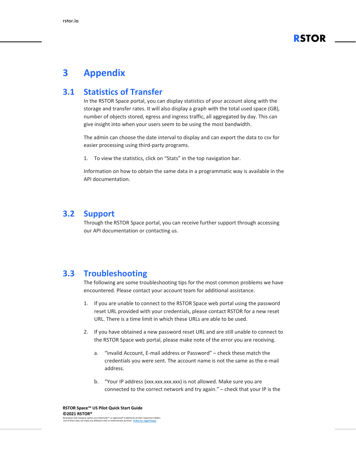

### <span id="page-9-0"></span>**3 Appendix**

#### <span id="page-9-1"></span>**3.1 Statistics of Transfer**

In the RSTOR Space portal, you can display statistics of your account along with the storage and transfer rates. It will also display a graph with the total used space (GB), number of objects stored, egress and ingress traffic, all aggregated by day. This can give insight into when your users seem to be using the most bandwidth.

The admin can choose the date interval to display and can export the data to csv for easier processing using third-party programs.

1. To view the statistics, click on "Stats" in the top navigation bar.

Information on how to obtain the same data in a programmatic way is available in the API documentation.

#### <span id="page-9-2"></span>**3.2 Support**

Through the RSTOR Space portal, you can receive further support through accessing our API documentation or contacting us.

#### <span id="page-9-3"></span>**3.3 Troubleshooting**

The following are some troubleshooting tips for the most common problems we have encountered. Please contact your account team for additional assistance.

- 1. If you are unable to connect to the RSTOR Space web portal using the password reset URL provided with your credentials, please contact RSTOR for a new reset URL. There is a time limit in which these URLs are able to be used.
- 2. If you have obtained a new password reset URL and are still unable to connect to the RSTOR Space web portal, please make note of the error you are receiving.
	- a. "invalid Account, E-mail address or Password" check these match the credentials you were sent. The account name is not the same as the e-mail address.
	- b. "Your IP address (xxx.xxx.xxx.xxx) is not allowed. Make sure you are connected to the correct network and try again." – check that your IP is the